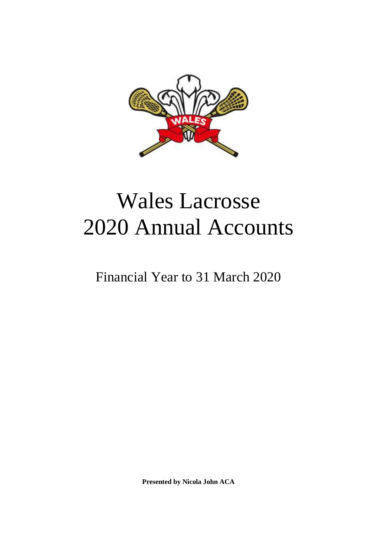

# Wales Lacrosse 2020 Annual Accounts

Financial Year to 31 March 2020

**Presented by Nicola John ACA**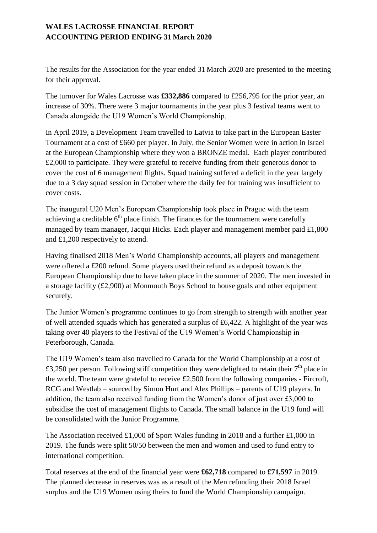The results for the Association for the year ended 31 March 2020 are presented to the meeting for their approval.

The turnover for Wales Lacrosse was **£332,886** compared to £256,795 for the prior year, an increase of 30%. There were 3 major tournaments in the year plus 3 festival teams went to Canada alongside the U19 Women's World Championship.

In April 2019, a Development Team travelled to Latvia to take part in the European Easter Tournament at a cost of £660 per player. In July, the Senior Women were in action in Israel at the European Championship where they won a BRONZE medal. Each player contributed £2,000 to participate. They were grateful to receive funding from their generous donor to cover the cost of 6 management flights. Squad training suffered a deficit in the year largely due to a 3 day squad session in October where the daily fee for training was insufficient to cover costs.

The inaugural U20 Men's European Championship took place in Prague with the team achieving a creditable  $6<sup>th</sup>$  place finish. The finances for the tournament were carefully managed by team manager, Jacqui Hicks. Each player and management member paid £1,800 and £1,200 respectively to attend.

Having finalised 2018 Men's World Championship accounts, all players and management were offered a £200 refund. Some players used their refund as a deposit towards the European Championship due to have taken place in the summer of 2020. The men invested in a storage facility (£2,900) at Monmouth Boys School to house goals and other equipment securely.

The Junior Women's programme continues to go from strength to strength with another year of well attended squads which has generated a surplus of £6,422. A highlight of the year was taking over 40 players to the Festival of the U19 Women's World Championship in Peterborough, Canada.

The U19 Women's team also travelled to Canada for the World Championship at a cost of £3,250 per person. Following stiff competition they were delighted to retain their  $7<sup>th</sup>$  place in the world. The team were grateful to receive £2,500 from the following companies - Fircroft, RCG and Westlab – sourced by Simon Hurt and Alex Phillips – parents of U19 players. In addition, the team also received funding from the Women's donor of just over £3,000 to subsidise the cost of management flights to Canada. The small balance in the U19 fund will be consolidated with the Junior Programme.

The Association received £1,000 of Sport Wales funding in 2018 and a further £1,000 in 2019. The funds were split 50/50 between the men and women and used to fund entry to international competition.

Total reserves at the end of the financial year were **£62,718** compared to **£71,597** in 2019. The planned decrease in reserves was as a result of the Men refunding their 2018 Israel surplus and the U19 Women using theirs to fund the World Championship campaign.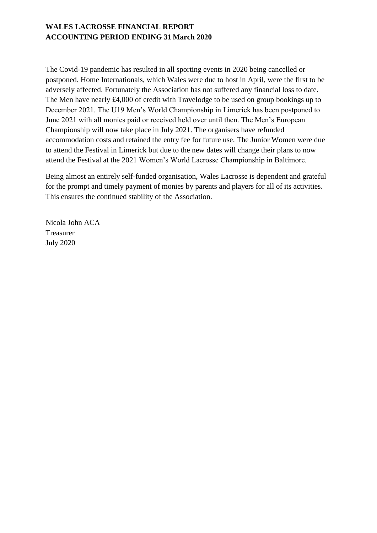The Covid-19 pandemic has resulted in all sporting events in 2020 being cancelled or postponed. Home Internationals, which Wales were due to host in April, were the first to be adversely affected. Fortunately the Association has not suffered any financial loss to date. The Men have nearly £4,000 of credit with Travelodge to be used on group bookings up to December 2021. The U19 Men's World Championship in Limerick has been postponed to June 2021 with all monies paid or received held over until then. The Men's European Championship will now take place in July 2021. The organisers have refunded accommodation costs and retained the entry fee for future use. The Junior Women were due to attend the Festival in Limerick but due to the new dates will change their plans to now attend the Festival at the 2021 Women's World Lacrosse Championship in Baltimore.

Being almost an entirely self-funded organisation, Wales Lacrosse is dependent and grateful for the prompt and timely payment of monies by parents and players for all of its activities. This ensures the continued stability of the Association.

Nicola John ACA Treasurer July 2020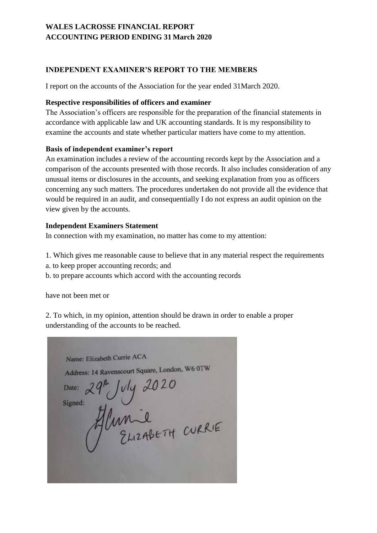#### **INDEPENDENT EXAMINER'S REPORT TO THE MEMBERS**

I report on the accounts of the Association for the year ended 31March 2020.

#### **Respective responsibilities of officers and examiner**

The Association's officers are responsible for the preparation of the financial statements in accordance with applicable law and UK accounting standards. It is my responsibility to examine the accounts and state whether particular matters have come to my attention.

#### **Basis of independent examiner's report**

An examination includes a review of the accounting records kept by the Association and a comparison of the accounts presented with those records. It also includes consideration of any unusual items or disclosures in the accounts, and seeking explanation from you as officers concerning any such matters. The procedures undertaken do not provide all the evidence that would be required in an audit, and consequentially I do not express an audit opinion on the view given by the accounts.

#### **Independent Examiners Statement**

In connection with my examination, no matter has come to my attention:

- 1. Which gives me reasonable cause to believe that in any material respect the requirements
- a. to keep proper accounting records; and
- b. to prepare accounts which accord with the accounting records

have not been met or

2. To which, in my opinion, attention should be drawn in order to enable a proper understanding of the accounts to be reached.

Name: Elizabeth Currie ACA Address: 14 Ravenscourt Square, London, W6 0TW SS: 14 Ravenscourt Square, London, WOO!" Date: Signed: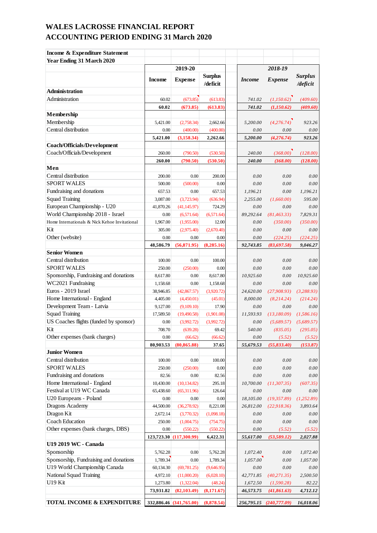| Income & Expenditure Statement                |               |                         |                            |               |                         |                            |
|-----------------------------------------------|---------------|-------------------------|----------------------------|---------------|-------------------------|----------------------------|
| <b>Year Ending 31 March 2020</b>              |               |                         |                            |               |                         |                            |
|                                               |               | 2019-20                 |                            |               | 2018-19                 |                            |
|                                               | <b>Income</b> | <b>Expense</b>          | <b>Surplus</b><br>/deficit | <i>Income</i> | <b>Expense</b>          | <b>Surplus</b><br>/deficit |
| Administration                                |               |                         |                            |               |                         |                            |
| Administration                                | 60.02         | (673.85)                | (613.83)                   | 741.02        | (1,150.62)              | (409.60)                   |
|                                               | 60.02         | (673.85)                | (613.83)                   | 741.02        | (1,150.62)              | (409.60)                   |
| Membership                                    |               |                         |                            |               |                         |                            |
| Membership                                    | 5,421.00      | (2,758.34)              | 2,662.66                   | 5,200,00      | (4,276.74)              | 923.26                     |
| Central distribution                          | 0.00          | (400.00)                | (400.00)                   | 0.00          | 0.00                    | 0.00                       |
|                                               | 5.421.00      | (3, 158.34)             | 2,262.66                   | 5,200.00      | (4, 276.74)             | 923.26                     |
| <b>Coach/Officials/Development</b>            |               |                         |                            |               |                         |                            |
| Coach/Officials/Development                   | 260.00        | (790.50)                | (530.50)                   | 240.00        | (368.00)                | (128.00)                   |
|                                               | 260.00        | (790.50)                | (530.50)                   | 240.00        | (368.00)                | (128.00)                   |
| Men                                           |               |                         |                            |               |                         |                            |
| Central distribution                          | 200.00        | 0.00                    | 200.00                     | 0.00          | 0.00                    | 0.00                       |
| <b>SPORT WALES</b>                            | 500.00        | (500.00)                | 0.00                       | 0.00          | 0.00                    | 0.00                       |
| Fundraising and donations                     | 657.53        | 0.00                    | 657.53                     | 1,196.21      | 0.00                    | 1,196.21                   |
| <b>Squad Training</b>                         | 3,087.00      | (3,723.94)              | (636.94)                   | 2.255.00      | (1,660.00)              | 595.00                     |
| European Championship - U20                   | 41,870.26     | (41, 145.97)            | 724.29                     | 0.00          | 0.00                    | 0.00                       |
| World Championship 2018 - Israel              | 0.00          | (6,571.64)              | (6,571.64)                 | 89,292.64     | (81, 463.33)            | 7,829.31                   |
| Home Internationals & Nick Kehoe Invitational | 1,967.00      | (1,955.00)              | 12.00                      | 0.00          | (350.00)                | (350.00)                   |
| Kit                                           | 305.00        | (2,975.40)              | (2,670.40)                 | 0.00          | 0.00                    | 0.00                       |
| Other (website)                               | 0.00          | 0.00                    | 0.00                       | 0.00          | (224.25)                | (224.25)                   |
|                                               | 48,586.79     | (56, 871.95)            | (8, 285.16)                | 92,743.85     | (83,697.58)             | 9,046.27                   |
| <b>Senior Women</b>                           |               |                         |                            |               |                         |                            |
| Central distribution                          | 100.00        | 0.00                    | 100.00                     | 0.00          | 0.00                    | 0.00                       |
| <b>SPORT WALES</b>                            | 250.00        | (250.00)                | 0.00                       | 0.00          | 0.00                    | 0.00                       |
| Sponsorship, Fundraising and donations        | 8,617.80      | 0.00                    | 8,617.80                   | 10,925.60     | 0.00                    | 10,925.60                  |
| WC2021 Fundraising                            | 1,158.68      | 0.00                    | 1,158.68                   | 0.00          | 0.00                    | 0.00                       |
| Euros - 2019 Israel                           | 38,946.85     | (42, 867.57)            | (3,920.72)                 | 24,620.00     | (27,908.93)             | (3, 288.93)                |
| Home International - England                  | 4,405.00      | (4,450.01)              | (45.01)                    | 8,000.00      | (8,214.24)              | (214.24)                   |
| Development Team - Latvia                     | 9,127.00      | (9,109.10)              | 17.90                      | 0.00          | 0.00                    | 0.00                       |
| <b>Squad Training</b>                         | 17,589.50     | (19, 490.58)            | (1,901.08)                 | 11,593.93     | (13,180.09)             | (1,586.16)                 |
| US Coaches flights (funded by sponsor)        | 0.00          | (3,992.72)              | (3,992.72)                 | 0.00          | (5,689.57)              | (5,689.57)                 |
| Kit                                           | 708.70        | (639.28)                | 69.42                      | 540.00        | (835.05)                | (295.05)                   |
| Other expenses (bank charges)                 | 0.00          | (66.62)                 | (66.62)                    | 0.00          | (5.52)                  | (5.52)                     |
|                                               | 80,903.53     | (80, 865.88)            | 37.65                      | 55,679.53     | (55, 833.40)            | (153.87)                   |
| <b>Junior Women</b>                           |               |                         |                            |               |                         |                            |
| Central distribution                          | 100.00        | $0.00\,$                | 100.00                     | 0.00          | 0.00                    | 0.00                       |
| <b>SPORT WALES</b>                            | 250.00        | (250.00)                | 0.00                       | 0.00          | 0.00                    | 0.00                       |
| Fundraising and donations                     | 82.56         | 0.00                    | 82.56                      | 0.00          | 0.00                    | 0.00                       |
| Home International - England                  | 10,430.00     | (10, 134.82)            | 295.18                     | 10,700.00     | (11, 307.35)            | (607.35)                   |
| Festival at U19 WC Canada                     | 65,438.60     | (65, 311.96)            | 126.64                     | 0.00          | 0.00                    | 0.00                       |
| U20 Europeans - Poland                        | 0.00          | 0.00                    | 0.00                       | 18,105.00     | (19, 357.89)            | (1,252.89)                 |
| Dragons Academy                               | 44,500.00     | (36, 278.92)            | 8,221.08                   | 26,812.00     | (22, 918.36)            | 3,893.64                   |
| Dragon Kit                                    | 2,672.14      | (3,770.32)              | (1,098.18)                 | 0.00          | 0.00                    | 0.00                       |
| <b>Coach Education</b>                        | 250.00        | (1,004.75)              | (754.75)                   | 0.00          | 0.00                    | 0.00                       |
| Other expenses (bank charges, DBS)            | 0.00          | (550.22)                | (550.22)                   | 0.00          | (5.52)                  | (5.52)                     |
|                                               |               | 123,723.30 (117,300.99) | 6,422.31                   | 55,617.00     | (53, 589.12)            | 2,027.88                   |
| U19 2019 WC - Canada                          |               |                         |                            |               |                         |                            |
| Sponsorship                                   | 5,762.28      | 0.00                    | 5,762.28                   | 1,072.40      | 0.00                    | 1,072.40                   |
| Sponsorship, Fundraising and donations        | 1,789.34      | 0.00                    | 1,789.34                   | 1,057.00      | 0.00                    | 1,057.00                   |
| U19 World Championship Canada                 | 60,134.30     | (69, 781.25)            | (9,646.95)                 | $0.00\,$      | 0.00                    | 0.00                       |
| National Squad Training                       | 4,972.10      | (11,000.20)             | (6,028.10)                 | 42,771.85     | (40, 271.35)            | 2,500.50                   |
| U19 Kit                                       | 1,273.80      | (1,322.04)              | (48.24)                    | 1,672.50      | (1,590.28)              | 82.22                      |
|                                               | 73,931.82     | (82, 103.49)            | (8,171.67)                 | 46,573.75     | (41,861.63)             | 4,712.12                   |
| TOTAL INCOME & EXPENDITURE                    |               |                         | (8,878.54)                 |               |                         |                            |
|                                               |               | 332,886.46 (341,765.00) |                            |               | 256,795.15 (240,777.09) | 16,018.06                  |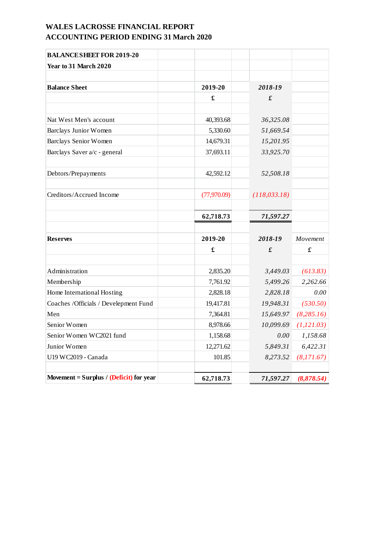| <b>BALANCE SHEET FOR 2019-20</b>          |                      |                 |             |
|-------------------------------------------|----------------------|-----------------|-------------|
| Year to 31 March 2020                     |                      |                 |             |
|                                           |                      |                 |             |
| <b>Balance Sheet</b>                      | 2019-20              | 2018-19         |             |
|                                           | £                    | $\pmb{\pounds}$ |             |
|                                           |                      |                 |             |
| Nat West Men's account                    | 40,393.68            | 36,325.08       |             |
| <b>Barclays Junior Women</b>              | 5,330.60             | 51,669.54       |             |
| <b>Barclays Senior Women</b>              | 14,679.31            | 15,201.95       |             |
| Barclays Saver a/c - general              | 37,693.11            | 33,925.70       |             |
| Debtors/Prepayments                       | 42,592.12            | 52,508.18       |             |
| Creditors/Accrued Income                  | (77,970.09)          | (118, 033.18)   |             |
|                                           | 62,718.73            | 71,597.27       |             |
| <b>Reserves</b>                           | 2019-20              | 2018-19         | Movement    |
|                                           | $\pmb{\mathfrak{L}}$ | $\pmb{\pounds}$ | £           |
|                                           |                      |                 |             |
| Administration                            | 2,835.20             | 3,449.03        | (613.83)    |
| Membership                                | 7,761.92             | 5,499.26        | 2,262.66    |
| Home International Hosting                | 2,828.18             | 2,828.18        | 0.00        |
| Coaches /Officials / Develepment Fund     | 19,417.81            | 19,948.31       | (530.50)    |
| Men                                       | 7,364.81             | 15,649.97       | (8,285.16)  |
| Senior Women                              | 8,978.66             | 10,099.69       | (1, 121.03) |
| Senior Women WC2021 fund                  | 1,158.68             | 0.00            | 1,158.68    |
| Junior Women                              | 12,271.62            | 5,849.31        | 6,422.31    |
| U19 WC2019 - Canada                       | 101.85               | 8,273.52        | (8,171.67)  |
| Movement = Surplus / $(Deficit)$ for year | 62,718.73            | 71,597.27       | (8,878.54)  |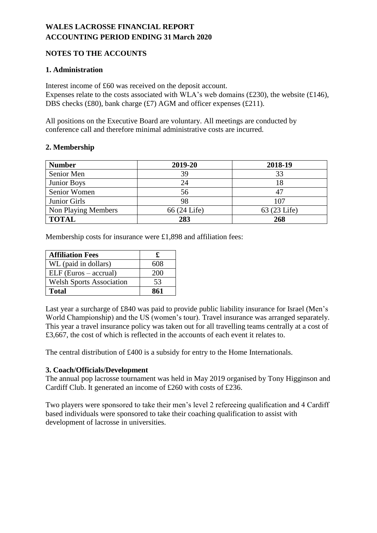## **NOTES TO THE ACCOUNTS**

#### **1. Administration**

Interest income of £60 was received on the deposit account. Expenses relate to the costs associated with WLA's web domains (£230), the website ( $£146$ ), DBS checks (£80), bank charge (£7) AGM and officer expenses (£211).

All positions on the Executive Board are voluntary. All meetings are conducted by conference call and therefore minimal administrative costs are incurred.

#### **2. Membership**

| <b>Number</b>       | 2019-20      | 2018-19      |
|---------------------|--------------|--------------|
| Senior Men          | 39           | 33           |
| Junior Boys         | 24           | 18           |
| Senior Women        | 56           | 47           |
| Junior Girls        | 98           | 107          |
| Non Playing Members | 66 (24 Life) | 63 (23 Life) |
| <b>TOTAL</b>        | 283          | 268          |

Membership costs for insurance were £1,898 and affiliation fees:

| <b>Affiliation Fees</b>         |     |
|---------------------------------|-----|
| WL (paid in dollars)            | 608 |
| $ELF$ (Euros – accrual)         | 200 |
| <b>Welsh Sports Association</b> | 53  |
| Total                           | 861 |

Last year a surcharge of £840 was paid to provide public liability insurance for Israel (Men's World Championship) and the US (women's tour). Travel insurance was arranged separately. This year a travel insurance policy was taken out for all travelling teams centrally at a cost of £3,667, the cost of which is reflected in the accounts of each event it relates to.

The central distribution of £400 is a subsidy for entry to the Home Internationals.

#### **3. Coach/Officials/Development**

The annual pop lacrosse tournament was held in May 2019 organised by Tony Higginson and Cardiff Club. It generated an income of £260 with costs of £236.

Two players were sponsored to take their men's level 2 refereeing qualification and 4 Cardiff based individuals were sponsored to take their coaching qualification to assist with development of lacrosse in universities.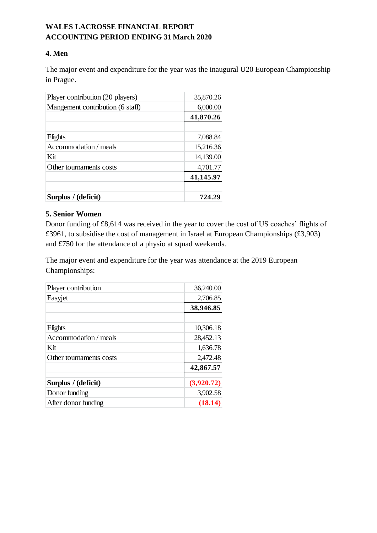#### **4. Men**

The major event and expenditure for the year was the inaugural U20 European Championship in Prague.

| Player contribution (20 players) | 35,870.26 |
|----------------------------------|-----------|
| Mangement contribution (6 staff) | 6,000.00  |
|                                  | 41,870.26 |
|                                  |           |
| Flights                          | 7,088.84  |
| Accommodation / meals            | 15,216.36 |
| Kit                              | 14,139.00 |
| Other tournaments costs          | 4,701.77  |
|                                  | 41,145.97 |
|                                  |           |
| Surplus / (deficit)              | 724.29    |

#### **5. Senior Women**

Donor funding of £8,614 was received in the year to cover the cost of US coaches' flights of £3961, to subsidise the cost of management in Israel at European Championships (£3,903) and £750 for the attendance of a physio at squad weekends.

The major event and expenditure for the year was attendance at the 2019 European Championships:

| Player contribution     | 36,240.00  |
|-------------------------|------------|
| Easyjet                 | 2,706.85   |
|                         | 38,946.85  |
|                         |            |
| Flights                 | 10,306.18  |
| Accommodation / meals   | 28,452.13  |
| Kit                     | 1,636.78   |
| Other tournaments costs | 2,472.48   |
|                         | 42,867.57  |
| Surplus / (deficit)     | (3,920.72) |
| Donor funding           | 3,902.58   |
| After donor funding     | (18.14)    |